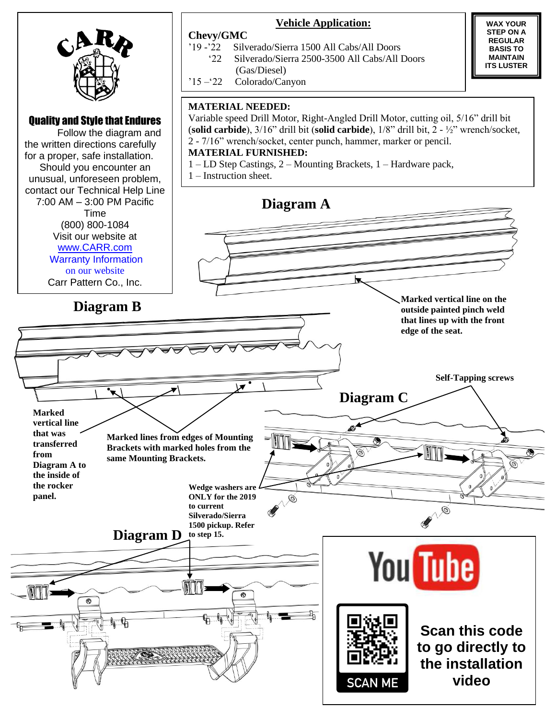